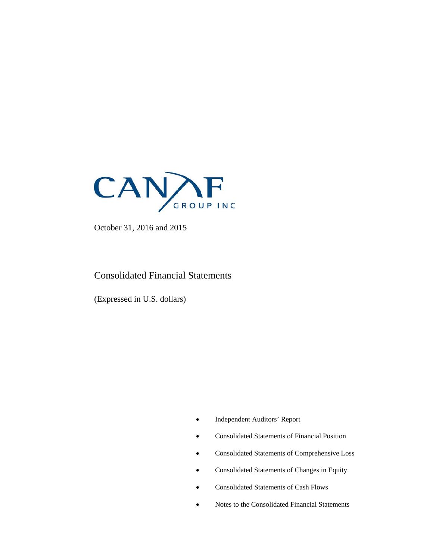

October 31, 2016 and 2015

### Consolidated Financial Statements

(Expressed in U.S. dollars)

- Independent Auditors' Report
- Consolidated Statements of Financial Position
- Consolidated Statements of Comprehensive Loss
- Consolidated Statements of Changes in Equity
- Consolidated Statements of Cash Flows
- Notes to the Consolidated Financial Statements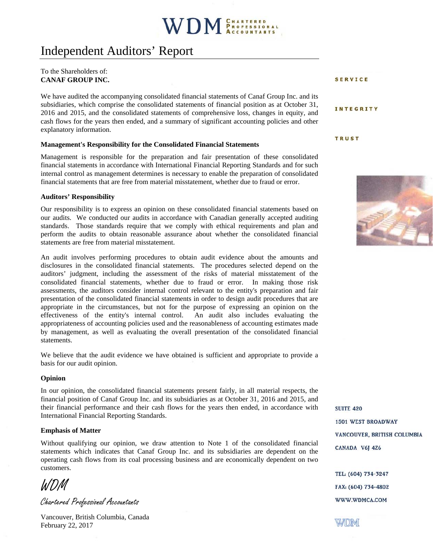# Independent Auditors' Report

#### To the Shareholders of: **CANAF GROUP INC.**

We have audited the accompanying consolidated financial statements of Canaf Group Inc. and its subsidiaries, which comprise the consolidated statements of financial position as at October 31, 2016 and 2015, and the consolidated statements of comprehensive loss, changes in equity, and cash flows for the years then ended, and a summary of significant accounting policies and other explanatory information.

#### **Management's Responsibility for the Consolidated Financial Statements**

Management is responsible for the preparation and fair presentation of these consolidated financial statements in accordance with International Financial Reporting Standards and for such internal control as management determines is necessary to enable the preparation of consolidated financial statements that are free from material misstatement, whether due to fraud or error.

#### **Auditors' Responsibility**

Our responsibility is to express an opinion on these consolidated financial statements based on our audits. We conducted our audits in accordance with Canadian generally accepted auditing standards. Those standards require that we comply with ethical requirements and plan and perform the audits to obtain reasonable assurance about whether the consolidated financial statements are free from material misstatement.

An audit involves performing procedures to obtain audit evidence about the amounts and disclosures in the consolidated financial statements. The procedures selected depend on the auditors' judgment, including the assessment of the risks of material misstatement of the consolidated financial statements, whether due to fraud or error. In making those risk assessments, the auditors consider internal control relevant to the entity's preparation and fair presentation of the consolidated financial statements in order to design audit procedures that are appropriate in the circumstances, but not for the purpose of expressing an opinion on the effectiveness of the entity's internal control. An audit also includes evaluating the appropriateness of accounting policies used and the reasonableness of accounting estimates made by management, as well as evaluating the overall presentation of the consolidated financial statements.

We believe that the audit evidence we have obtained is sufficient and appropriate to provide a basis for our audit opinion.

#### **Opinion**

In our opinion, the consolidated financial statements present fairly, in all material respects, the financial position of Canaf Group Inc. and its subsidiaries as at October 31, 2016 and 2015, and their financial performance and their cash flows for the years then ended, in accordance with International Financial Reporting Standards.

#### **Emphasis of Matter**

Without qualifying our opinion, we draw attention to Note 1 of the consolidated financial statements which indicates that Canaf Group Inc. and its subsidiaries are dependent on the operating cash flows from its coal processing business and are economically dependent on two customers.

WDM

Chartered Professional Accountants

Vancouver, British Columbia, Canada February 22, 2017

**SERVICE** 

**INTEGRITY** 

**TRUST** 



**SUITE 420 1501 WEST BROADWAY** VANCOUVER, BRITISH COLUMBIA CANADA V6J 4Z6

TEL: (604) 734-3247 FAX: (604) 734-4802 WWW.WDMCA.COM

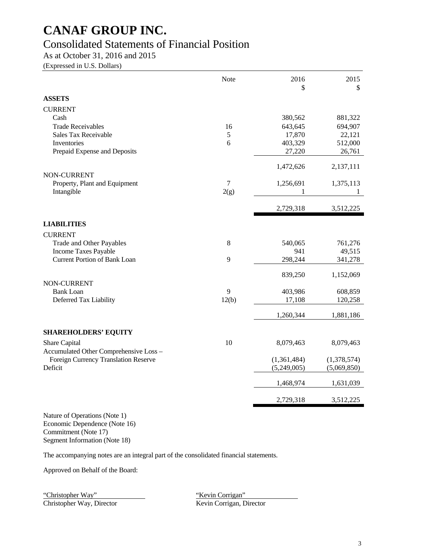## Consolidated Statements of Financial Position

As at October 31, 2016 and 2015

(Expressed in U.S. Dollars)

|                                             | Note                   | 2016           | 2015           |
|---------------------------------------------|------------------------|----------------|----------------|
|                                             |                        | \$             | \$             |
| <b>ASSETS</b>                               |                        |                |                |
| <b>CURRENT</b>                              |                        |                |                |
| Cash                                        |                        | 380,562        | 881,322        |
| <b>Trade Receivables</b>                    | 16                     | 643,645        | 694,907        |
| Sales Tax Receivable                        | 5                      | 17,870         | 22,121         |
| Inventories                                 | 6                      | 403,329        | 512,000        |
| Prepaid Expense and Deposits                |                        | 27,220         | 26,761         |
|                                             |                        | 1,472,626      | 2,137,111      |
| NON-CURRENT                                 |                        |                |                |
| Property, Plant and Equipment<br>Intangible | $\overline{7}$<br>2(g) | 1,256,691<br>1 | 1,375,113<br>1 |
|                                             |                        |                |                |
|                                             |                        | 2,729,318      | 3,512,225      |
| <b>LIABILITIES</b>                          |                        |                |                |
| <b>CURRENT</b>                              |                        |                |                |
| Trade and Other Payables                    | 8                      | 540,065        | 761,276        |
| <b>Income Taxes Payable</b>                 |                        | 941            | 49,515         |
| <b>Current Portion of Bank Loan</b>         | 9                      | 298,244        | 341,278        |
|                                             |                        | 839,250        | 1,152,069      |
| NON-CURRENT                                 |                        |                |                |
| <b>Bank Loan</b>                            | 9                      | 403,986        | 608,859        |
| Deferred Tax Liability                      | 12(b)                  | 17,108         | 120,258        |
|                                             |                        | 1,260,344      | 1,881,186      |
| <b>SHAREHOLDERS' EQUITY</b>                 |                        |                |                |
| Share Capital                               | 10                     | 8,079,463      | 8,079,463      |
| Accumulated Other Comprehensive Loss -      |                        |                |                |
| Foreign Currency Translation Reserve        |                        | (1,361,484)    | (1,378,574)    |
| Deficit                                     |                        | (5,249,005)    | (5,069,850)    |
|                                             |                        | 1,468,974      | 1,631,039      |
|                                             |                        |                |                |
|                                             |                        | 2,729,318      | 3,512,225      |

Nature of Operations (Note 1) Economic Dependence (Note 16) Commitment (Note 17) Segment Information (Note 18)

The accompanying notes are an integral part of the consolidated financial statements.

Approved on Behalf of the Board:

"Christopher Way" "Kevin Corrigan" Christopher Way, Director Kevin Corrigan, Director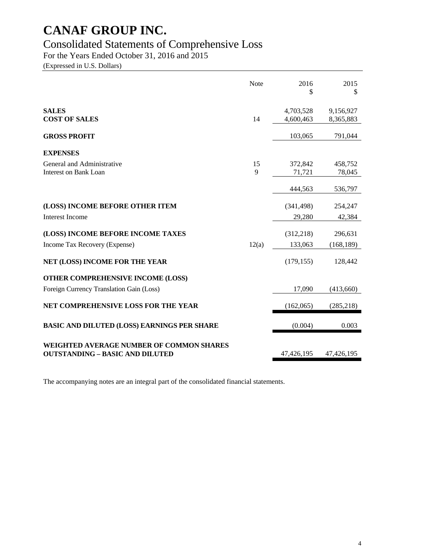## Consolidated Statements of Comprehensive Loss

For the Years Ended October 31, 2016 and 2015

(Expressed in U.S. Dollars)

|                                                                                           | Note  | 2016<br>\$             | 2015<br>\$             |
|-------------------------------------------------------------------------------------------|-------|------------------------|------------------------|
| <b>SALES</b><br><b>COST OF SALES</b>                                                      | 14    | 4,703,528<br>4,600,463 | 9,156,927<br>8,365,883 |
| <b>GROSS PROFIT</b>                                                                       |       | 103,065                | 791,044                |
| <b>EXPENSES</b>                                                                           |       |                        |                        |
| General and Administrative                                                                | 15    | 372,842                | 458,752                |
| <b>Interest on Bank Loan</b>                                                              | 9     | 71,721                 | 78,045                 |
|                                                                                           |       | 444,563                | 536,797                |
| (LOSS) INCOME BEFORE OTHER ITEM                                                           |       | (341, 498)             | 254,247                |
| <b>Interest Income</b>                                                                    |       | 29,280                 | 42,384                 |
|                                                                                           |       |                        |                        |
| (LOSS) INCOME BEFORE INCOME TAXES                                                         |       | (312, 218)             | 296,631                |
| Income Tax Recovery (Expense)                                                             | 12(a) | 133,063                | (168, 189)             |
| NET (LOSS) INCOME FOR THE YEAR                                                            |       | (179, 155)             | 128,442                |
| OTHER COMPREHENSIVE INCOME (LOSS)                                                         |       |                        |                        |
| Foreign Currency Translation Gain (Loss)                                                  |       | 17,090                 | (413,660)              |
| NET COMPREHENSIVE LOSS FOR THE YEAR                                                       |       | (162,065)              | (285, 218)             |
| <b>BASIC AND DILUTED (LOSS) EARNINGS PER SHARE</b>                                        |       | (0.004)                | 0.003                  |
| <b>WEIGHTED AVERAGE NUMBER OF COMMON SHARES</b><br><b>OUTSTANDING - BASIC AND DILUTED</b> |       | 47,426,195             | 47,426,195             |

The accompanying notes are an integral part of the consolidated financial statements.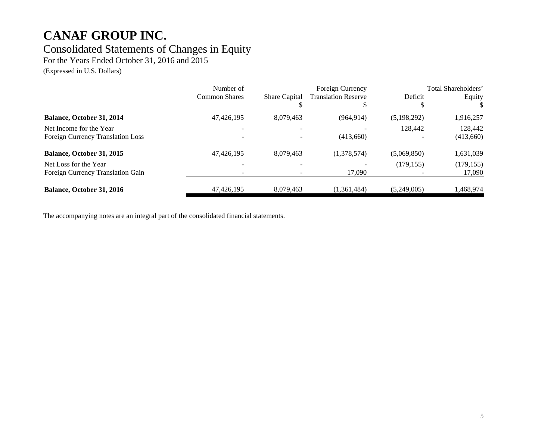# **CANAF GROUP INC.** Consolidated Statements of Changes in Equity

For the Years Ended October 31, 2016 and 2015

(Expressed in U.S. Dollars)

|                                                                     | Number of<br><b>Common Shares</b> | Share Capital | Foreign Currency<br><b>Translation Reserve</b><br>D | Deficit     | Total Shareholders'<br>Equity |
|---------------------------------------------------------------------|-----------------------------------|---------------|-----------------------------------------------------|-------------|-------------------------------|
| Balance, October 31, 2014                                           | 47,426,195                        | 8,079,463     | (964, 914)                                          | (5,198,292) | 1,916,257                     |
| Net Income for the Year<br><b>Foreign Currency Translation Loss</b> |                                   |               | (413,660)                                           | 128,442     | 128,442<br>(413,660)          |
| Balance, October 31, 2015                                           | 47,426,195                        | 8,079,463     | (1,378,574)                                         | (5,069,850) | 1,631,039                     |
| Net Loss for the Year<br>Foreign Currency Translation Gain          |                                   |               | 17,090                                              | (179, 155)  | (179, 155)<br>17,090          |
| Balance, October 31, 2016                                           | 47,426,195                        | 8,079,463     | (1,361,484)                                         | (5,249,005) | 1.468.974                     |

The accompanying notes are an integral part of the consolidated financial statements.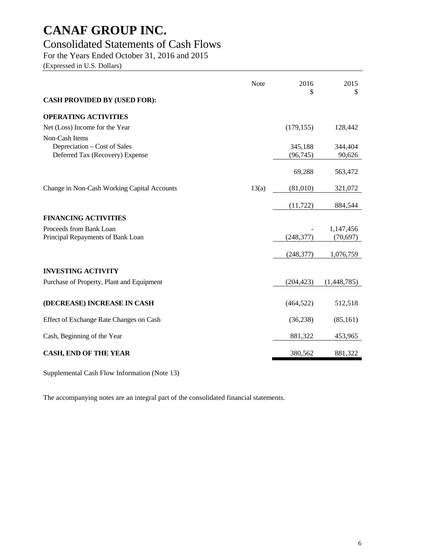### Consolidated Statements of Cash Flows

### For the Years Ended October 31, 2016 and 2015

(Expressed in U.S. Dollars)

|                                                                 | <b>Note</b> | 2016<br>\$           | 2015<br>\$        |
|-----------------------------------------------------------------|-------------|----------------------|-------------------|
| <b>CASH PROVIDED BY (USED FOR):</b>                             |             |                      |                   |
| <b>OPERATING ACTIVITIES</b>                                     |             |                      |                   |
| Net (Loss) Income for the Year                                  |             | (179, 155)           | 128,442           |
| Non-Cash Items                                                  |             |                      |                   |
| Depreciation - Cost of Sales<br>Deferred Tax (Recovery) Expense |             | 345,188<br>(96, 745) | 344,404<br>90,626 |
|                                                                 |             | 69,288               | 563,472           |
| Change in Non-Cash Working Capital Accounts                     | 13(a)       | (81,010)             | 321,072           |
|                                                                 |             | (11, 722)            | 884,544           |
| <b>FINANCING ACTIVITIES</b>                                     |             |                      |                   |
| Proceeds from Bank Loan                                         |             |                      | 1,147,456         |
| Principal Repayments of Bank Loan                               |             | (248, 377)           | (70, 697)         |
|                                                                 |             | (248, 377)           | 1,076,759         |
| <b>INVESTING ACTIVITY</b>                                       |             |                      |                   |
| Purchase of Property, Plant and Equipment                       |             | (204, 423)           | (1,448,785)       |
| (DECREASE) INCREASE IN CASH                                     |             | (464, 522)           | 512,518           |
| Effect of Exchange Rate Changes on Cash                         |             | (36, 238)            | (85,161)          |
| Cash, Beginning of the Year                                     |             | 881,322              | 453,965           |
| <b>CASH, END OF THE YEAR</b>                                    |             | 380,562              | 881,322           |

Supplemental Cash Flow Information (Note 13)

The accompanying notes are an integral part of the consolidated financial statements.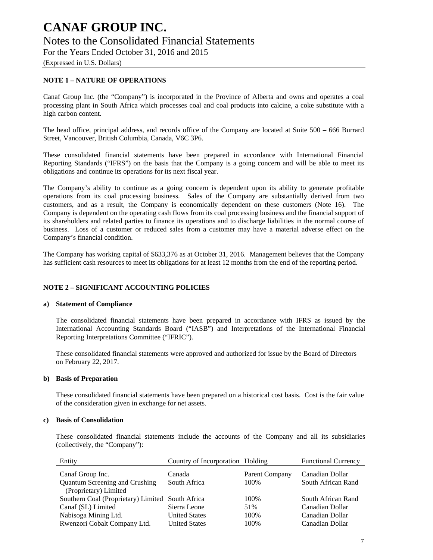### Notes to the Consolidated Financial Statements

For the Years Ended October 31, 2016 and 2015

(Expressed in U.S. Dollars)

#### **NOTE 1 – NATURE OF OPERATIONS**

Canaf Group Inc. (the "Company") is incorporated in the Province of Alberta and owns and operates a coal processing plant in South Africa which processes coal and coal products into calcine, a coke substitute with a high carbon content.

The head office, principal address, and records office of the Company are located at Suite 500 – 666 Burrard Street, Vancouver, British Columbia, Canada, V6C 3P6.

These consolidated financial statements have been prepared in accordance with International Financial Reporting Standards ("IFRS") on the basis that the Company is a going concern and will be able to meet its obligations and continue its operations for its next fiscal year.

The Company's ability to continue as a going concern is dependent upon its ability to generate profitable operations from its coal processing business. Sales of the Company are substantially derived from two customers, and as a result, the Company is economically dependent on these customers (Note 16). The Company is dependent on the operating cash flows from its coal processing business and the financial support of its shareholders and related parties to finance its operations and to discharge liabilities in the normal course of business. Loss of a customer or reduced sales from a customer may have a material adverse effect on the Company's financial condition.

The Company has working capital of \$633,376 as at October 31, 2016. Management believes that the Company has sufficient cash resources to meet its obligations for at least 12 months from the end of the reporting period.

#### **NOTE 2 – SIGNIFICANT ACCOUNTING POLICIES**

#### **a) Statement of Compliance**

The consolidated financial statements have been prepared in accordance with IFRS as issued by the International Accounting Standards Board ("IASB") and Interpretations of the International Financial Reporting Interpretations Committee ("IFRIC").

These consolidated financial statements were approved and authorized for issue by the Board of Directors on February 22, 2017.

#### **b) Basis of Preparation**

These consolidated financial statements have been prepared on a historical cost basis. Cost is the fair value of the consideration given in exchange for net assets.

#### **c) Basis of Consolidation**

These consolidated financial statements include the accounts of the Company and all its subsidiaries (collectively, the "Company"):

| Entity                                           | Country of Incorporation Holding |                | <b>Functional Currency</b> |
|--------------------------------------------------|----------------------------------|----------------|----------------------------|
| Canaf Group Inc.                                 | Canada                           | Parent Company | Canadian Dollar            |
| <b>Quantum Screening and Crushing</b>            | South Africa                     | 100\%          | South African Rand         |
| (Proprietary) Limited                            |                                  |                |                            |
| Southern Coal (Proprietary) Limited South Africa |                                  | 100%           | South African Rand         |
| Canaf (SL) Limited                               | Sierra Leone                     | 51%            | Canadian Dollar            |
| Nabisoga Mining Ltd.                             | <b>United States</b>             | 100%           | Canadian Dollar            |
| Rwenzori Cobalt Company Ltd.                     | <b>United States</b>             | 100%           | Canadian Dollar            |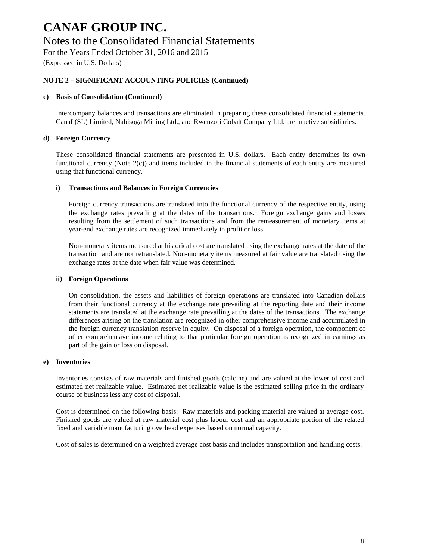### Notes to the Consolidated Financial Statements

For the Years Ended October 31, 2016 and 2015

(Expressed in U.S. Dollars)

#### **NOTE 2 – SIGNIFICANT ACCOUNTING POLICIES (Continued)**

#### **c) Basis of Consolidation (Continued)**

Intercompany balances and transactions are eliminated in preparing these consolidated financial statements. Canaf (SL) Limited, Nabisoga Mining Ltd., and Rwenzori Cobalt Company Ltd. are inactive subsidiaries.

#### **d) Foreign Currency**

These consolidated financial statements are presented in U.S. dollars. Each entity determines its own functional currency (Note 2(c)) and items included in the financial statements of each entity are measured using that functional currency.

#### **i) Transactions and Balances in Foreign Currencies**

Foreign currency transactions are translated into the functional currency of the respective entity, using the exchange rates prevailing at the dates of the transactions. Foreign exchange gains and losses resulting from the settlement of such transactions and from the remeasurement of monetary items at year-end exchange rates are recognized immediately in profit or loss.

Non-monetary items measured at historical cost are translated using the exchange rates at the date of the transaction and are not retranslated. Non-monetary items measured at fair value are translated using the exchange rates at the date when fair value was determined.

#### **ii) Foreign Operations**

On consolidation, the assets and liabilities of foreign operations are translated into Canadian dollars from their functional currency at the exchange rate prevailing at the reporting date and their income statements are translated at the exchange rate prevailing at the dates of the transactions. The exchange differences arising on the translation are recognized in other comprehensive income and accumulated in the foreign currency translation reserve in equity. On disposal of a foreign operation, the component of other comprehensive income relating to that particular foreign operation is recognized in earnings as part of the gain or loss on disposal.

#### **e) Inventories**

Inventories consists of raw materials and finished goods (calcine) and are valued at the lower of cost and estimated net realizable value. Estimated net realizable value is the estimated selling price in the ordinary course of business less any cost of disposal.

Cost is determined on the following basis: Raw materials and packing material are valued at average cost. Finished goods are valued at raw material cost plus labour cost and an appropriate portion of the related fixed and variable manufacturing overhead expenses based on normal capacity.

Cost of sales is determined on a weighted average cost basis and includes transportation and handling costs.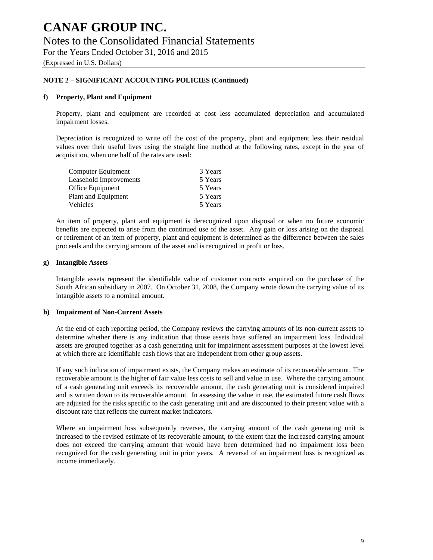## **CANAF GROUP INC.** Notes to the Consolidated Financial Statements

For the Years Ended October 31, 2016 and 2015

(Expressed in U.S. Dollars)

#### **NOTE 2 – SIGNIFICANT ACCOUNTING POLICIES (Continued)**

#### **f) Property, Plant and Equipment**

Property, plant and equipment are recorded at cost less accumulated depreciation and accumulated impairment losses.

Depreciation is recognized to write off the cost of the property, plant and equipment less their residual values over their useful lives using the straight line method at the following rates, except in the year of acquisition, when one half of the rates are used:

| 3 Years |
|---------|
| 5 Years |
| 5 Years |
| 5 Years |
| 5 Years |
|         |

An item of property, plant and equipment is derecognized upon disposal or when no future economic benefits are expected to arise from the continued use of the asset. Any gain or loss arising on the disposal or retirement of an item of property, plant and equipment is determined as the difference between the sales proceeds and the carrying amount of the asset and is recognized in profit or loss.

#### **g) Intangible Assets**

Intangible assets represent the identifiable value of customer contracts acquired on the purchase of the South African subsidiary in 2007. On October 31, 2008, the Company wrote down the carrying value of its intangible assets to a nominal amount.

#### **h) Impairment of Non-Current Assets**

At the end of each reporting period, the Company reviews the carrying amounts of its non-current assets to determine whether there is any indication that those assets have suffered an impairment loss. Individual assets are grouped together as a cash generating unit for impairment assessment purposes at the lowest level at which there are identifiable cash flows that are independent from other group assets.

If any such indication of impairment exists, the Company makes an estimate of its recoverable amount. The recoverable amount is the higher of fair value less costs to sell and value in use. Where the carrying amount of a cash generating unit exceeds its recoverable amount, the cash generating unit is considered impaired and is written down to its recoverable amount. In assessing the value in use, the estimated future cash flows are adjusted for the risks specific to the cash generating unit and are discounted to their present value with a discount rate that reflects the current market indicators.

Where an impairment loss subsequently reverses, the carrying amount of the cash generating unit is increased to the revised estimate of its recoverable amount, to the extent that the increased carrying amount does not exceed the carrying amount that would have been determined had no impairment loss been recognized for the cash generating unit in prior years. A reversal of an impairment loss is recognized as income immediately.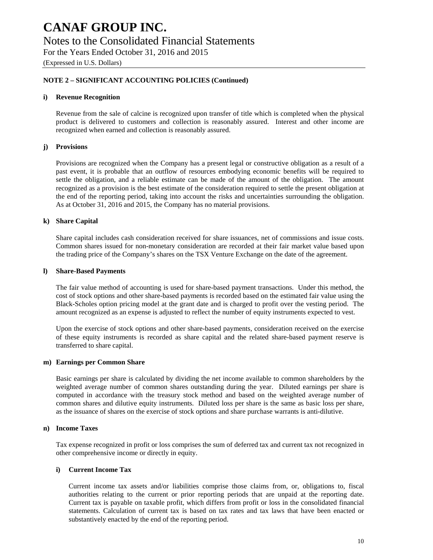### Notes to the Consolidated Financial Statements

For the Years Ended October 31, 2016 and 2015

(Expressed in U.S. Dollars)

#### **NOTE 2 – SIGNIFICANT ACCOUNTING POLICIES (Continued)**

#### **i) Revenue Recognition**

Revenue from the sale of calcine is recognized upon transfer of title which is completed when the physical product is delivered to customers and collection is reasonably assured. Interest and other income are recognized when earned and collection is reasonably assured.

#### **j) Provisions**

Provisions are recognized when the Company has a present legal or constructive obligation as a result of a past event, it is probable that an outflow of resources embodying economic benefits will be required to settle the obligation, and a reliable estimate can be made of the amount of the obligation. The amount recognized as a provision is the best estimate of the consideration required to settle the present obligation at the end of the reporting period, taking into account the risks and uncertainties surrounding the obligation. As at October 31, 2016 and 2015, the Company has no material provisions.

#### **k) Share Capital**

Share capital includes cash consideration received for share issuances, net of commissions and issue costs. Common shares issued for non-monetary consideration are recorded at their fair market value based upon the trading price of the Company's shares on the TSX Venture Exchange on the date of the agreement.

#### **l) Share-Based Payments**

The fair value method of accounting is used for share-based payment transactions. Under this method, the cost of stock options and other share-based payments is recorded based on the estimated fair value using the Black-Scholes option pricing model at the grant date and is charged to profit over the vesting period. The amount recognized as an expense is adjusted to reflect the number of equity instruments expected to vest.

Upon the exercise of stock options and other share-based payments, consideration received on the exercise of these equity instruments is recorded as share capital and the related share-based payment reserve is transferred to share capital.

#### **m) Earnings per Common Share**

Basic earnings per share is calculated by dividing the net income available to common shareholders by the weighted average number of common shares outstanding during the year. Diluted earnings per share is computed in accordance with the treasury stock method and based on the weighted average number of common shares and dilutive equity instruments. Diluted loss per share is the same as basic loss per share, as the issuance of shares on the exercise of stock options and share purchase warrants is anti-dilutive.

#### **n) Income Taxes**

Tax expense recognized in profit or loss comprises the sum of deferred tax and current tax not recognized in other comprehensive income or directly in equity.

#### **i) Current Income Tax**

Current income tax assets and/or liabilities comprise those claims from, or, obligations to, fiscal authorities relating to the current or prior reporting periods that are unpaid at the reporting date. Current tax is payable on taxable profit, which differs from profit or loss in the consolidated financial statements. Calculation of current tax is based on tax rates and tax laws that have been enacted or substantively enacted by the end of the reporting period.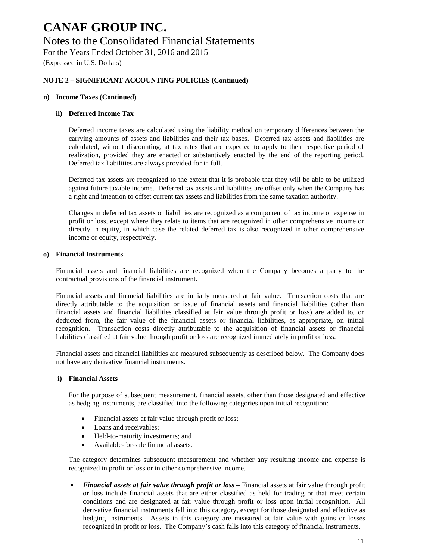### Notes to the Consolidated Financial Statements

For the Years Ended October 31, 2016 and 2015

(Expressed in U.S. Dollars)

#### **NOTE 2 – SIGNIFICANT ACCOUNTING POLICIES (Continued)**

#### **n) Income Taxes (Continued)**

#### **ii) Deferred Income Tax**

Deferred income taxes are calculated using the liability method on temporary differences between the carrying amounts of assets and liabilities and their tax bases. Deferred tax assets and liabilities are calculated, without discounting, at tax rates that are expected to apply to their respective period of realization, provided they are enacted or substantively enacted by the end of the reporting period. Deferred tax liabilities are always provided for in full.

Deferred tax assets are recognized to the extent that it is probable that they will be able to be utilized against future taxable income. Deferred tax assets and liabilities are offset only when the Company has a right and intention to offset current tax assets and liabilities from the same taxation authority.

Changes in deferred tax assets or liabilities are recognized as a component of tax income or expense in profit or loss, except where they relate to items that are recognized in other comprehensive income or directly in equity, in which case the related deferred tax is also recognized in other comprehensive income or equity, respectively.

#### **o) Financial Instruments**

Financial assets and financial liabilities are recognized when the Company becomes a party to the contractual provisions of the financial instrument.

Financial assets and financial liabilities are initially measured at fair value. Transaction costs that are directly attributable to the acquisition or issue of financial assets and financial liabilities (other than financial assets and financial liabilities classified at fair value through profit or loss) are added to, or deducted from, the fair value of the financial assets or financial liabilities, as appropriate, on initial recognition. Transaction costs directly attributable to the acquisition of financial assets or financial liabilities classified at fair value through profit or loss are recognized immediately in profit or loss.

Financial assets and financial liabilities are measured subsequently as described below. The Company does not have any derivative financial instruments.

#### **i) Financial Assets**

For the purpose of subsequent measurement, financial assets, other than those designated and effective as hedging instruments, are classified into the following categories upon initial recognition:

- Financial assets at fair value through profit or loss;
- Loans and receivables;
- Held-to-maturity investments; and
- Available-for-sale financial assets.

The category determines subsequent measurement and whether any resulting income and expense is recognized in profit or loss or in other comprehensive income.

 *Financial assets at fair value through profit or loss* – Financial assets at fair value through profit or loss include financial assets that are either classified as held for trading or that meet certain conditions and are designated at fair value through profit or loss upon initial recognition. All derivative financial instruments fall into this category, except for those designated and effective as hedging instruments. Assets in this category are measured at fair value with gains or losses recognized in profit or loss. The Company's cash falls into this category of financial instruments.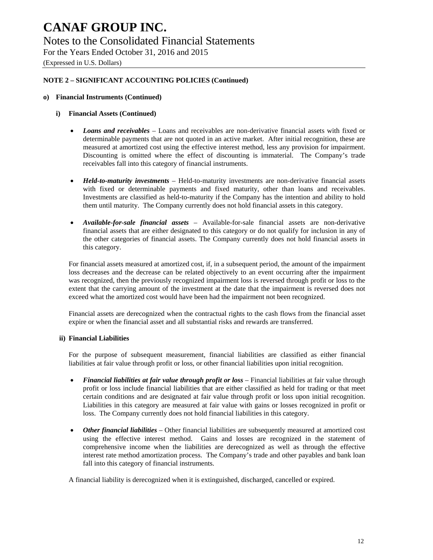### Notes to the Consolidated Financial Statements

For the Years Ended October 31, 2016 and 2015

(Expressed in U.S. Dollars)

#### **NOTE 2 – SIGNIFICANT ACCOUNTING POLICIES (Continued)**

#### **o) Financial Instruments (Continued)**

- **i) Financial Assets (Continued)** 
	- *Loans and receivables* Loans and receivables are non-derivative financial assets with fixed or determinable payments that are not quoted in an active market. After initial recognition, these are measured at amortized cost using the effective interest method, less any provision for impairment. Discounting is omitted where the effect of discounting is immaterial. The Company's trade receivables fall into this category of financial instruments.
	- *Held-to-maturity investments* Held-to-maturity investments are non-derivative financial assets with fixed or determinable payments and fixed maturity, other than loans and receivables. Investments are classified as held-to-maturity if the Company has the intention and ability to hold them until maturity. The Company currently does not hold financial assets in this category.
	- *Available-for-sale financial assets* Available-for-sale financial assets are non-derivative financial assets that are either designated to this category or do not qualify for inclusion in any of the other categories of financial assets. The Company currently does not hold financial assets in this category.

For financial assets measured at amortized cost, if, in a subsequent period, the amount of the impairment loss decreases and the decrease can be related objectively to an event occurring after the impairment was recognized, then the previously recognized impairment loss is reversed through profit or loss to the extent that the carrying amount of the investment at the date that the impairment is reversed does not exceed what the amortized cost would have been had the impairment not been recognized.

Financial assets are derecognized when the contractual rights to the cash flows from the financial asset expire or when the financial asset and all substantial risks and rewards are transferred.

#### **ii) Financial Liabilities**

For the purpose of subsequent measurement, financial liabilities are classified as either financial liabilities at fair value through profit or loss, or other financial liabilities upon initial recognition.

- *Financial liabilities at fair value through profit or loss* Financial liabilities at fair value through profit or loss include financial liabilities that are either classified as held for trading or that meet certain conditions and are designated at fair value through profit or loss upon initial recognition. Liabilities in this category are measured at fair value with gains or losses recognized in profit or loss. The Company currently does not hold financial liabilities in this category.
- *Other financial liabilities*  Other financial liabilities are subsequently measured at amortized cost using the effective interest method. Gains and losses are recognized in the statement of comprehensive income when the liabilities are derecognized as well as through the effective interest rate method amortization process. The Company's trade and other payables and bank loan fall into this category of financial instruments.

A financial liability is derecognized when it is extinguished, discharged, cancelled or expired.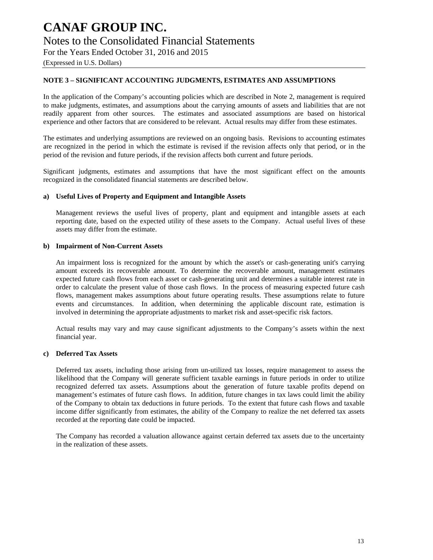### **CANAF GROUP INC.** Notes to the Consolidated Financial Statements For the Years Ended October 31, 2016 and 2015

(Expressed in U.S. Dollars)

#### **NOTE 3 – SIGNIFICANT ACCOUNTING JUDGMENTS, ESTIMATES AND ASSUMPTIONS**

In the application of the Company's accounting policies which are described in Note 2, management is required to make judgments, estimates, and assumptions about the carrying amounts of assets and liabilities that are not readily apparent from other sources. The estimates and associated assumptions are based on historical experience and other factors that are considered to be relevant. Actual results may differ from these estimates.

The estimates and underlying assumptions are reviewed on an ongoing basis. Revisions to accounting estimates are recognized in the period in which the estimate is revised if the revision affects only that period, or in the period of the revision and future periods, if the revision affects both current and future periods.

Significant judgments, estimates and assumptions that have the most significant effect on the amounts recognized in the consolidated financial statements are described below.

#### **a) Useful Lives of Property and Equipment and Intangible Assets**

Management reviews the useful lives of property, plant and equipment and intangible assets at each reporting date, based on the expected utility of these assets to the Company. Actual useful lives of these assets may differ from the estimate.

#### **b) Impairment of Non-Current Assets**

An impairment loss is recognized for the amount by which the asset's or cash-generating unit's carrying amount exceeds its recoverable amount. To determine the recoverable amount, management estimates expected future cash flows from each asset or cash-generating unit and determines a suitable interest rate in order to calculate the present value of those cash flows. In the process of measuring expected future cash flows, management makes assumptions about future operating results. These assumptions relate to future events and circumstances. In addition, when determining the applicable discount rate, estimation is involved in determining the appropriate adjustments to market risk and asset-specific risk factors.

Actual results may vary and may cause significant adjustments to the Company's assets within the next financial year.

#### **c) Deferred Tax Assets**

Deferred tax assets, including those arising from un-utilized tax losses, require management to assess the likelihood that the Company will generate sufficient taxable earnings in future periods in order to utilize recognized deferred tax assets. Assumptions about the generation of future taxable profits depend on management's estimates of future cash flows. In addition, future changes in tax laws could limit the ability of the Company to obtain tax deductions in future periods. To the extent that future cash flows and taxable income differ significantly from estimates, the ability of the Company to realize the net deferred tax assets recorded at the reporting date could be impacted.

The Company has recorded a valuation allowance against certain deferred tax assets due to the uncertainty in the realization of these assets.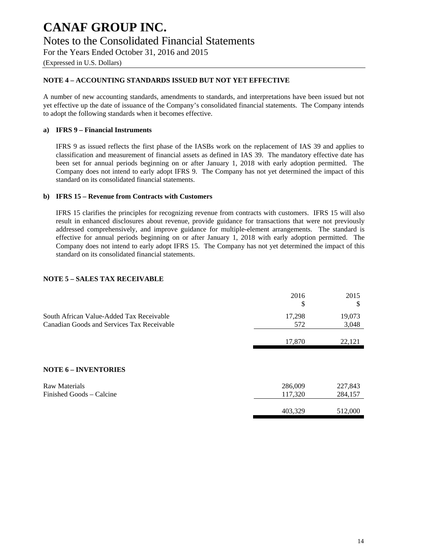### Notes to the Consolidated Financial Statements

For the Years Ended October 31, 2016 and 2015

(Expressed in U.S. Dollars)

#### **NOTE 4 – ACCOUNTING STANDARDS ISSUED BUT NOT YET EFFECTIVE**

A number of new accounting standards, amendments to standards, and interpretations have been issued but not yet effective up the date of issuance of the Company's consolidated financial statements. The Company intends to adopt the following standards when it becomes effective.

#### **a) IFRS 9 – Financial Instruments**

IFRS 9 as issued reflects the first phase of the IASBs work on the replacement of IAS 39 and applies to classification and measurement of financial assets as defined in IAS 39. The mandatory effective date has been set for annual periods beginning on or after January 1, 2018 with early adoption permitted. The Company does not intend to early adopt IFRS 9. The Company has not yet determined the impact of this standard on its consolidated financial statements.

#### **b) IFRS 15 – Revenue from Contracts with Customers**

IFRS 15 clarifies the principles for recognizing revenue from contracts with customers. IFRS 15 will also result in enhanced disclosures about revenue, provide guidance for transactions that were not previously addressed comprehensively, and improve guidance for multiple-element arrangements. The standard is effective for annual periods beginning on or after January 1, 2018 with early adoption permitted. The Company does not intend to early adopt IFRS 15. The Company has not yet determined the impact of this standard on its consolidated financial statements.

#### **NOTE 5 – SALES TAX RECEIVABLE**

|                                                                                        | 2016<br>\$         | 2015<br>S          |
|----------------------------------------------------------------------------------------|--------------------|--------------------|
| South African Value-Added Tax Receivable<br>Canadian Goods and Services Tax Receivable | 17,298<br>572      | 19,073<br>3,048    |
|                                                                                        | 17,870             | 22,121             |
|                                                                                        |                    |                    |
| <b>NOTE 6 - INVENTORIES</b>                                                            |                    |                    |
| <b>Raw Materials</b><br>Finished Goods – Calcine                                       | 286,009<br>117,320 | 227,843<br>284,157 |
|                                                                                        | 403,329            | 512,000            |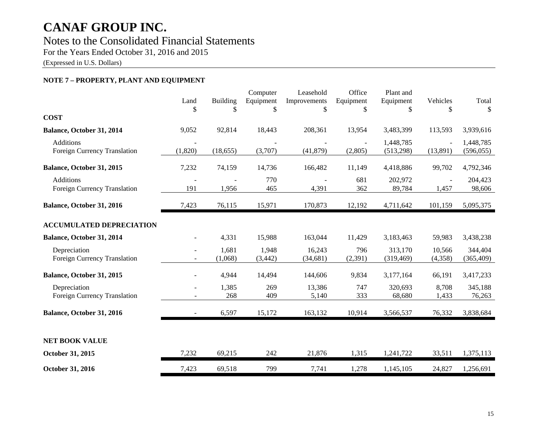### Notes to the Consolidated Financial Statements

For the Years Ended October 31, 2016 and 2015

(Expressed in U.S. Dollars)

#### **NOTE 7 – PROPERTY, PLANT AND EQUIPMENT**

|                                                  | Land    | <b>Building</b>  | Computer<br>Equipment | Leasehold<br>Improvements | Office<br>Equipment | Plant and<br>Equipment | Vehicles          | Total                   |
|--------------------------------------------------|---------|------------------|-----------------------|---------------------------|---------------------|------------------------|-------------------|-------------------------|
| <b>COST</b>                                      | \$      |                  | \$                    | \$                        | \$                  | \$                     | \$                | \$                      |
| Balance, October 31, 2014                        | 9,052   | 92,814           | 18,443                | 208,361                   | 13,954              | 3,483,399              | 113,593           | 3,939,616               |
| <b>Additions</b><br>Foreign Currency Translation | (1,820) | (18, 655)        | (3,707)               | (41, 879)                 | (2,805)             | 1,448,785<br>(513,298) | (13, 891)         | 1,448,785<br>(596, 055) |
| Balance, October 31, 2015                        | 7,232   | 74,159           | 14,736                | 166,482                   | 11,149              | 4,418,886              | 99,702            | 4,792,346               |
| <b>Additions</b><br>Foreign Currency Translation | 191     | 1,956            | 770<br>465            | 4,391                     | 681<br>362          | 202,972<br>89,784      | 1,457             | 204,423<br>98,606       |
| Balance, October 31, 2016                        | 7,423   | 76,115           | 15,971                | 170,873                   | 12,192              | 4,711,642              | 101,159           | 5,095,375               |
| <b>ACCUMULATED DEPRECIATION</b>                  |         |                  |                       |                           |                     |                        |                   |                         |
| Balance, October 31, 2014                        |         | 4,331            | 15,988                | 163,044                   | 11,429              | 3,183,463              | 59,983            | 3,438,238               |
| Depreciation<br>Foreign Currency Translation     |         | 1,681<br>(1,068) | 1,948<br>(3, 442)     | 16,243<br>(34, 681)       | 796<br>(2,391)      | 313,170<br>(319, 469)  | 10,566<br>(4,358) | 344,404<br>(365, 409)   |
| Balance, October 31, 2015                        |         | 4,944            | 14,494                | 144,606                   | 9,834               | 3,177,164              | 66,191            | 3,417,233               |
| Depreciation<br>Foreign Currency Translation     |         | 1,385<br>268     | 269<br>409            | 13,386<br>5,140           | 747<br>333          | 320,693<br>68,680      | 8,708<br>1,433    | 345,188<br>76,263       |
| Balance, October 31, 2016                        |         | 6,597            | 15,172                | 163,132                   | 10,914              | 3,566,537              | 76,332            | 3,838,684               |
| <b>NET BOOK VALUE</b>                            |         |                  |                       |                           |                     |                        |                   |                         |
| October 31, 2015                                 | 7,232   | 69,215           | 242                   | 21,876                    | 1,315               | 1,241,722              | 33,511            | 1,375,113               |
| October 31, 2016                                 | 7,423   | 69,518           | 799                   | 7,741                     | 1,278               | 1,145,105              | 24,827            | 1,256,691               |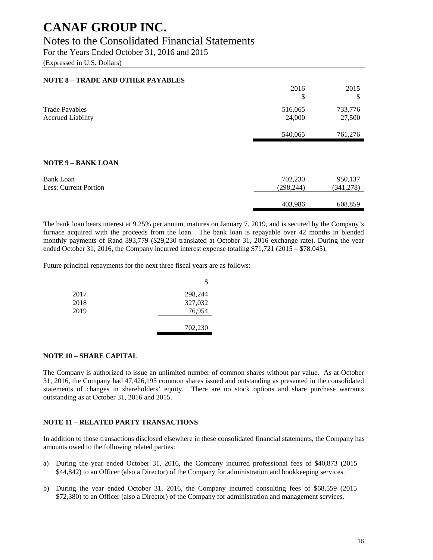### Notes to the Consolidated Financial Statements

For the Years Ended October 31, 2016 and 2015

(Expressed in U.S. Dollars)

#### **NOTE 8 – TRADE AND OTHER PAYABLES**

|                                                   | 2016<br>\$        | 2015<br>\$        |
|---------------------------------------------------|-------------------|-------------------|
| <b>Trade Payables</b><br><b>Accrued Liability</b> | 516,065<br>24,000 | 733,776<br>27,500 |
|                                                   | 540,065           | 761,276           |
| <b>NOTE 9 - BANK LOAN</b>                         |                   |                   |
|                                                   |                   |                   |
| <b>Bank Loan</b>                                  | 702,230           | 950,137           |
| Less: Current Portion                             | (298, 244)        | (341, 278)        |
|                                                   |                   |                   |
|                                                   | 403,986           | 608,859           |

The bank loan bears interest at 9.25% per annum, matures on January 7, 2019, and is secured by the Company's furnace acquired with the proceeds from the loan. The bank loan is repayable over 42 months in blended monthly payments of Rand 393,779 (\$29,230 translated at October 31, 2016 exchange rate). During the year ended October 31, 2016, the Company incurred interest expense totaling \$71,721 (2015 – \$78,045).

Future principal repayments for the next three fiscal years are as follows:

| 2017 | 298,244 |
|------|---------|
| 2018 | 327,032 |
| 2019 | 76,954  |
|      |         |
|      | 702,230 |

#### **NOTE 10 – SHARE CAPITAL**

The Company is authorized to issue an unlimited number of common shares without par value. As at October 31, 2016, the Company had 47,426,195 common shares issued and outstanding as presented in the consolidated statements of changes in shareholders' equity. There are no stock options and share purchase warrants outstanding as at October 31, 2016 and 2015.

#### **NOTE 11 – RELATED PARTY TRANSACTIONS**

In addition to those transactions disclosed elsewhere in these consolidated financial statements, the Company has amounts owed to the following related parties:

- a) During the year ended October 31, 2016, the Company incurred professional fees of \$40,873 (2015 \$44,842) to an Officer (also a Director) of the Company for administration and bookkeeping services.
- b) During the year ended October 31, 2016, the Company incurred consulting fees of \$68,559 (2015 \$72,380) to an Officer (also a Director) of the Company for administration and management services.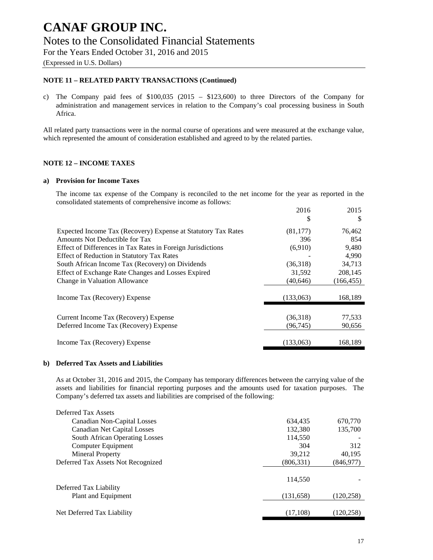### Notes to the Consolidated Financial Statements

For the Years Ended October 31, 2016 and 2015

(Expressed in U.S. Dollars)

#### **NOTE 11 – RELATED PARTY TRANSACTIONS (Continued)**

c) The Company paid fees of \$100,035 (2015 – \$123,600) to three Directors of the Company for administration and management services in relation to the Company's coal processing business in South Africa.

All related party transactions were in the normal course of operations and were measured at the exchange value, which represented the amount of consideration established and agreed to by the related parties.

#### **NOTE 12 – INCOME TAXES**

#### **a) Provision for Income Taxes**

The income tax expense of the Company is reconciled to the net income for the year as reported in the consolidated statements of comprehensive income as follows:

|                                                               | 2016      | 2015       |
|---------------------------------------------------------------|-----------|------------|
|                                                               | S         | S          |
| Expected Income Tax (Recovery) Expense at Statutory Tax Rates | (81, 177) | 76,462     |
| Amounts Not Deductible for Tax                                | 396       | 854        |
| Effect of Differences in Tax Rates in Foreign Jurisdictions   | (6,910)   | 9,480      |
| Effect of Reduction in Statutory Tax Rates                    |           | 4,990      |
| South African Income Tax (Recovery) on Dividends              | (36,318)  | 34,713     |
| Effect of Exchange Rate Changes and Losses Expired            | 31,592    | 208,145    |
| Change in Valuation Allowance                                 | (40, 646) | (166, 455) |
|                                                               |           |            |
| Income Tax (Recovery) Expense                                 | (133,063) | 168,189    |
|                                                               |           |            |
| Current Income Tax (Recovery) Expense                         | (36,318)  | 77,533     |
| Deferred Income Tax (Recovery) Expense                        | (96, 745) | 90,656     |
|                                                               |           |            |
| Income Tax (Recovery) Expense                                 | (133,063) | 168,189    |

#### **b) Deferred Tax Assets and Liabilities**

As at October 31, 2016 and 2015, the Company has temporary differences between the carrying value of the assets and liabilities for financial reporting purposes and the amounts used for taxation purposes. The Company's deferred tax assets and liabilities are comprised of the following:

| Deferred Tax Assets                |            |           |
|------------------------------------|------------|-----------|
| Canadian Non-Capital Losses        | 634,435    | 670,770   |
| <b>Canadian Net Capital Losses</b> | 132,380    | 135,700   |
| South African Operating Losses     | 114,550    |           |
| Computer Equipment                 | 304        | 312       |
| Mineral Property                   | 39,212     | 40,195    |
| Deferred Tax Assets Not Recognized | (806, 331) | (846,977) |
|                                    | 114,550    |           |
| Deferred Tax Liability             |            |           |
| Plant and Equipment                | (131, 658) | 120,258   |
| Net Deferred Tax Liability         | (17,108)   | 120,258)  |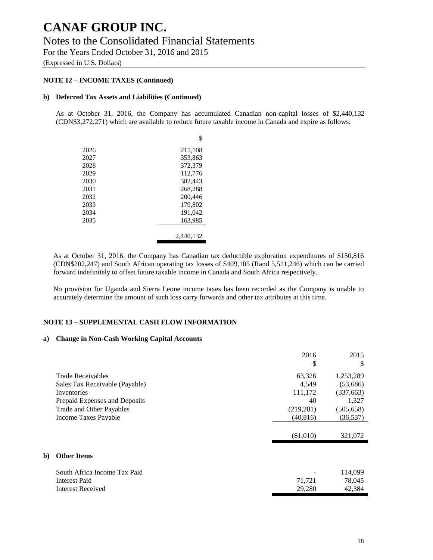### Notes to the Consolidated Financial Statements

For the Years Ended October 31, 2016 and 2015

(Expressed in U.S. Dollars)

#### **NOTE 12 – INCOME TAXES (Continued)**

#### **b) Deferred Tax Assets and Liabilities (Continued)**

As at October 31, 2016, the Company has accumulated Canadian non-capital losses of \$2,440,132 (CDN\$3,272,271) which are available to reduce future taxable income in Canada and expire as follows:

|      | \$        |
|------|-----------|
| 2026 | 215,108   |
| 2027 | 353,863   |
| 2028 | 372,379   |
| 2029 | 112,776   |
| 2030 | 382,443   |
| 2031 | 268,288   |
| 2032 | 200,446   |
| 2033 | 179,802   |
| 2034 | 191,042   |
| 2035 | 163,985   |
|      |           |
|      | 2,440,132 |

As at October 31, 2016, the Company has Canadian tax deductible exploration expenditures of \$150,816 (CDN\$202,247) and South African operating tax losses of \$409,105 (Rand 5,511,246) which can be carried forward indefinitely to offset future taxable income in Canada and South Africa respectively.

No provision for Uganda and Sierra Leone income taxes has been recorded as the Company is unable to accurately determine the amount of such loss carry forwards and other tax attributes at this time.

#### **NOTE 13 – SUPPLEMENTAL CASH FLOW INFORMATION**

#### **a) Change in Non-Cash Working Capital Accounts**

**b**)

|                                | 2016<br>\$ | 2015<br>\$ |
|--------------------------------|------------|------------|
|                                |            |            |
| <b>Trade Receivables</b>       | 63,326     | 1,253,289  |
| Sales Tax Receivable (Payable) | 4,549      | (53, 686)  |
| Inventories                    | 111,172    | (337, 663) |
| Prepaid Expenses and Deposits  | 40         | 1,327      |
| Trade and Other Payables       | (219, 281) | (505, 658) |
| <b>Income Taxes Payable</b>    | (40, 816)  | (36, 537)  |
|                                |            |            |
|                                | (81,010)   | 321,072    |
|                                |            |            |
| <b>Other Items</b>             |            |            |
| South Africa Income Tax Paid   |            | 114,099    |
| <b>Interest Paid</b>           | 71,721     | 78,045     |
| <b>Interest Received</b>       | 29,280     | 42,384     |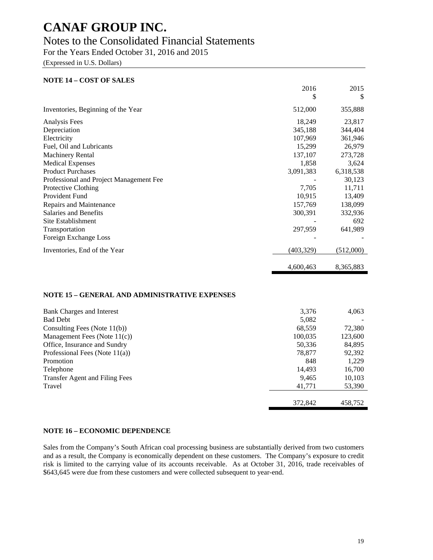### Notes to the Consolidated Financial Statements

For the Years Ended October 31, 2016 and 2015

(Expressed in U.S. Dollars)

#### **NOTE 14 – COST OF SALES**

|                                         | 2016       | 2015      |
|-----------------------------------------|------------|-----------|
|                                         | \$         | \$        |
| Inventories, Beginning of the Year      | 512,000    | 355,888   |
| Analysis Fees                           | 18,249     | 23,817    |
| Depreciation                            | 345,188    | 344,404   |
| Electricity                             | 107,969    | 361,946   |
| Fuel, Oil and Lubricants                | 15,299     | 26,979    |
| <b>Machinery Rental</b>                 | 137,107    | 273,728   |
| <b>Medical Expenses</b>                 | 1,858      | 3,624     |
| <b>Product Purchases</b>                | 3,091,383  | 6,318,538 |
| Professional and Project Management Fee |            | 30,123    |
| Protective Clothing                     | 7,705      | 11,711    |
| Provident Fund                          | 10,915     | 13,409    |
| Repairs and Maintenance                 | 157,769    | 138,099   |
| Salaries and Benefits                   | 300,391    | 332,936   |
| Site Establishment                      |            | 692       |
| Transportation                          | 297,959    | 641,989   |
| Foreign Exchange Loss                   |            |           |
| Inventories, End of the Year            | (403, 329) | (512,000) |
|                                         | 4,600,463  | 8,365,883 |

#### **NOTE 15 – GENERAL AND ADMINISTRATIVE EXPENSES**

| Bank Charges and Interest         | 3,376   | 4,063   |
|-----------------------------------|---------|---------|
| <b>Bad Debt</b>                   | 5,082   |         |
| Consulting Fees (Note $11(b)$ )   | 68,559  | 72,380  |
| Management Fees (Note $11(c)$ )   | 100,035 | 123,600 |
| Office, Insurance and Sundry      | 50,336  | 84,895  |
| Professional Fees (Note $11(a)$ ) | 78,877  | 92,392  |
| Promotion                         | 848     | 1,229   |
| Telephone                         | 14,493  | 16,700  |
| Transfer Agent and Filing Fees    | 9.465   | 10,103  |
| Travel                            | 41,771  | 53,390  |
|                                   | 372,842 | 458.752 |

#### **NOTE 16 – ECONOMIC DEPENDENCE**

Sales from the Company's South African coal processing business are substantially derived from two customers and as a result, the Company is economically dependent on these customers. The Company's exposure to credit risk is limited to the carrying value of its accounts receivable. As at October 31, 2016, trade receivables of \$643,645 were due from these customers and were collected subsequent to year-end.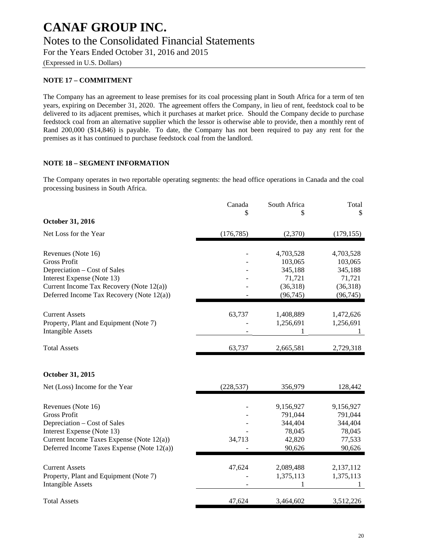## Notes to the Consolidated Financial Statements

For the Years Ended October 31, 2016 and 2015

(Expressed in U.S. Dollars)

#### **NOTE 17 – COMMITMENT**

The Company has an agreement to lease premises for its coal processing plant in South Africa for a term of ten years, expiring on December 31, 2020. The agreement offers the Company, in lieu of rent, feedstock coal to be delivered to its adjacent premises, which it purchases at market price. Should the Company decide to purchase feedstock coal from an alternative supplier which the lessor is otherwise able to provide, then a monthly rent of Rand 200,000 (\$14,846) is payable. To date, the Company has not been required to pay any rent for the premises as it has continued to purchase feedstock coal from the landlord.

#### **NOTE 18 – SEGMENT INFORMATION**

The Company operates in two reportable operating segments: the head office operations in Canada and the coal processing business in South Africa.

|                                            | Canada<br>\$ | South Africa | Total<br>S |
|--------------------------------------------|--------------|--------------|------------|
| October 31, 2016                           |              |              |            |
| Net Loss for the Year                      | (176, 785)   | (2,370)      | (179, 155) |
| Revenues (Note 16)                         |              | 4,703,528    | 4,703,528  |
| <b>Gross Profit</b>                        |              | 103,065      | 103,065    |
| Depreciation – Cost of Sales               |              | 345,188      | 345,188    |
| Interest Expense (Note 13)                 |              | 71,721       | 71,721     |
| Current Income Tax Recovery (Note 12(a))   |              | (36,318)     | (36,318)   |
| Deferred Income Tax Recovery (Note 12(a))  |              | (96, 745)    | (96, 745)  |
| <b>Current Assets</b>                      | 63,737       | 1,408,889    | 1,472,626  |
| Property, Plant and Equipment (Note 7)     |              | 1,256,691    | 1,256,691  |
| <b>Intangible Assets</b>                   |              | 1            | 1          |
| <b>Total Assets</b>                        | 63,737       | 2,665,581    | 2,729,318  |
| October 31, 2015                           |              |              |            |
| Net (Loss) Income for the Year             | (228, 537)   | 356,979      | 128,442    |
| Revenues (Note 16)                         |              | 9,156,927    | 9,156,927  |
| <b>Gross Profit</b>                        |              | 791,044      | 791,044    |
| Depreciation – Cost of Sales               |              | 344,404      | 344,404    |
| Interest Expense (Note 13)                 |              | 78,045       | 78,045     |
| Current Income Taxes Expense (Note 12(a))  | 34,713       | 42,820       | 77,533     |
| Deferred Income Taxes Expense (Note 12(a)) |              | 90,626       | 90,626     |
| <b>Current Assets</b>                      | 47,624       | 2,089,488    | 2,137,112  |
| Property, Plant and Equipment (Note 7)     |              | 1,375,113    | 1,375,113  |
| <b>Intangible Assets</b>                   |              |              |            |
| <b>Total Assets</b>                        | 47,624       | 3,464,602    | 3,512,226  |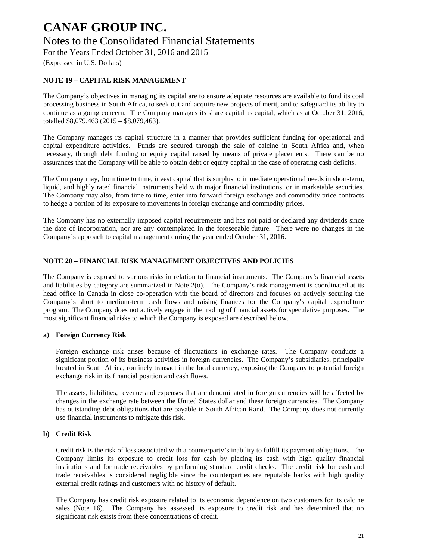Notes to the Consolidated Financial Statements

For the Years Ended October 31, 2016 and 2015

(Expressed in U.S. Dollars)

#### **NOTE 19 – CAPITAL RISK MANAGEMENT**

The Company's objectives in managing its capital are to ensure adequate resources are available to fund its coal processing business in South Africa, to seek out and acquire new projects of merit, and to safeguard its ability to continue as a going concern. The Company manages its share capital as capital, which as at October 31, 2016, totalled \$8,079,463 (2015 – \$8,079,463).

The Company manages its capital structure in a manner that provides sufficient funding for operational and capital expenditure activities. Funds are secured through the sale of calcine in South Africa and, when necessary, through debt funding or equity capital raised by means of private placements. There can be no assurances that the Company will be able to obtain debt or equity capital in the case of operating cash deficits.

The Company may, from time to time, invest capital that is surplus to immediate operational needs in short-term, liquid, and highly rated financial instruments held with major financial institutions, or in marketable securities. The Company may also, from time to time, enter into forward foreign exchange and commodity price contracts to hedge a portion of its exposure to movements in foreign exchange and commodity prices.

The Company has no externally imposed capital requirements and has not paid or declared any dividends since the date of incorporation, nor are any contemplated in the foreseeable future. There were no changes in the Company's approach to capital management during the year ended October 31, 2016.

#### **NOTE 20 – FINANCIAL RISK MANAGEMENT OBJECTIVES AND POLICIES**

The Company is exposed to various risks in relation to financial instruments. The Company's financial assets and liabilities by category are summarized in Note 2(o). The Company's risk management is coordinated at its head office in Canada in close co-operation with the board of directors and focuses on actively securing the Company's short to medium-term cash flows and raising finances for the Company's capital expenditure program. The Company does not actively engage in the trading of financial assets for speculative purposes. The most significant financial risks to which the Company is exposed are described below.

#### **a) Foreign Currency Risk**

Foreign exchange risk arises because of fluctuations in exchange rates. The Company conducts a significant portion of its business activities in foreign currencies. The Company's subsidiaries, principally located in South Africa, routinely transact in the local currency, exposing the Company to potential foreign exchange risk in its financial position and cash flows.

The assets, liabilities, revenue and expenses that are denominated in foreign currencies will be affected by changes in the exchange rate between the United States dollar and these foreign currencies. The Company has outstanding debt obligations that are payable in South African Rand. The Company does not currently use financial instruments to mitigate this risk.

#### **b) Credit Risk**

Credit risk is the risk of loss associated with a counterparty's inability to fulfill its payment obligations. The Company limits its exposure to credit loss for cash by placing its cash with high quality financial institutions and for trade receivables by performing standard credit checks. The credit risk for cash and trade receivables is considered negligible since the counterparties are reputable banks with high quality external credit ratings and customers with no history of default.

The Company has credit risk exposure related to its economic dependence on two customers for its calcine sales (Note 16). The Company has assessed its exposure to credit risk and has determined that no significant risk exists from these concentrations of credit.